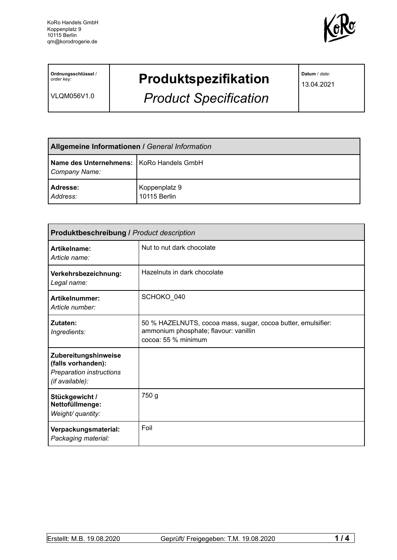

**Ordnungsschlüssel** / *order key:*

VLQM056V1.0

## **Produktspezifikation**

*Product Specification*

**Datum** / *date:*

13.04.2021

| <b>Allgemeine Informationen / General Information</b>       |                               |  |
|-------------------------------------------------------------|-------------------------------|--|
| Name des Unternehmens:   KoRo Handels GmbH<br>Company Name: |                               |  |
| <b>Adresse:</b><br>Address:                                 | Koppenplatz 9<br>10115 Berlin |  |

| <b>Produktbeschreibung / Product description</b>                                          |                                                                                                                              |  |  |
|-------------------------------------------------------------------------------------------|------------------------------------------------------------------------------------------------------------------------------|--|--|
| Artikelname:<br>Article name:                                                             | Nut to nut dark chocolate                                                                                                    |  |  |
| Verkehrsbezeichnung:<br>Legal name:                                                       | Hazelnuts in dark chocolate                                                                                                  |  |  |
| Artikelnummer:<br>Article number:                                                         | SCHOKO 040                                                                                                                   |  |  |
| Zutaten:<br>Ingredients:                                                                  | 50 % HAZELNUTS, cocoa mass, sugar, cocoa butter, emulsifier:<br>ammonium phosphate; flavour: vanillin<br>cocoa: 55 % minimum |  |  |
| Zubereitungshinweise<br>(falls vorhanden):<br>Preparation instructions<br>(if available): |                                                                                                                              |  |  |
| Stückgewicht /<br>Nettofüllmenge:<br>Weight/ quantity:                                    | 750 g                                                                                                                        |  |  |
| Verpackungsmaterial:<br>Packaging material:                                               | Foil                                                                                                                         |  |  |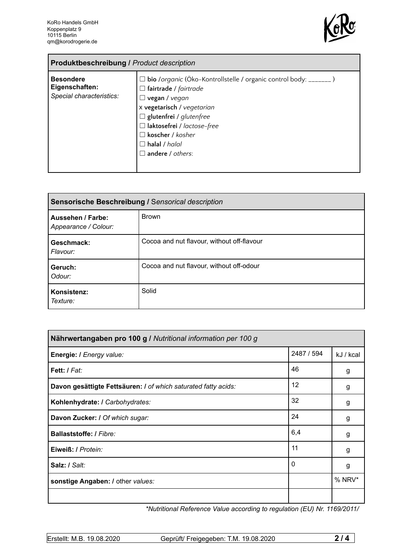'n



| <b>Produktbeschreibung / Product description</b>               |                                                                                                                                                                                                                                                                                                                |  |
|----------------------------------------------------------------|----------------------------------------------------------------------------------------------------------------------------------------------------------------------------------------------------------------------------------------------------------------------------------------------------------------|--|
| <b>Besondere</b><br>Eigenschaften:<br>Special characteristics: | □ bio /organic (Öko-Kontrollstelle / organic control body: _______)<br>$\Box$ fairtrade / fairtrade<br>$\Box$ vegan / vegan<br>x vegetarisch / vegetarian<br>$\Box$ glutenfrei / glutenfree<br>$\Box$ laktosefrei / lactose-free<br>$\Box$ koscher / kosher<br>$\Box$ halal / halal<br>$\Box$ andere / others: |  |

| Sensorische Beschreibung / Sensorical description |                                            |  |
|---------------------------------------------------|--------------------------------------------|--|
| Aussehen / Farbe:<br>Appearance / Colour:         | <b>Brown</b>                               |  |
| Geschmack:<br>Flavour:                            | Cocoa and nut flavour, without off-flavour |  |
| Geruch:<br>Odour:                                 | Cocoa and nut flavour, without off-odour   |  |
| Konsistenz:<br>Texture:                           | Solid                                      |  |

| Nährwertangaben pro 100 g / Nutritional information per 100 g  |            |           |
|----------------------------------------------------------------|------------|-----------|
| Energie: I Energy value:                                       | 2487 / 594 | kJ / kcal |
| Fett: / Fat:                                                   | 46         | g         |
| Davon gesättigte Fettsäuren: I of which saturated fatty acids: | 12         | g         |
| Kohlenhydrate: I Carbohydrates:                                | 32         | g         |
| Davon Zucker: / Of which sugar:                                | 24         | g         |
| Ballaststoffe: / Fibre:                                        | 6,4        | g         |
| Eiweiß: / Protein:                                             | 11         | g         |
| Salz: / Salt:                                                  | 0          | g         |
| sonstige Angaben: / other values:                              |            | % NRV*    |
|                                                                |            |           |

*\*Nutritional Reference Value according to regulation (EU) Nr. 1169/2011/*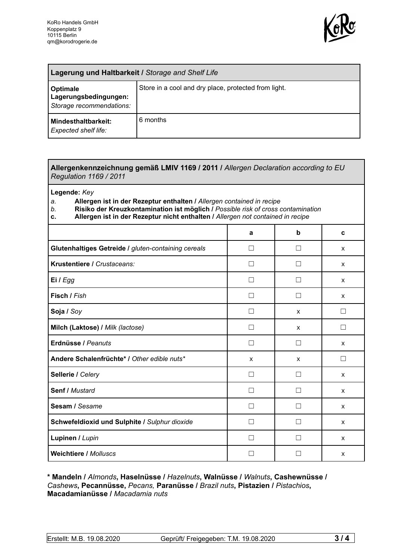

| <b>Lagerung und Haltbarkeit / Storage and Shelf Life</b>             |                                                      |  |
|----------------------------------------------------------------------|------------------------------------------------------|--|
| <b>Optimale</b><br>Lagerungsbedingungen:<br>Storage recommendations: | Store in a cool and dry place, protected from light. |  |
| <b>Mindesthaltbarkeit:</b><br>Expected shelf life:                   | 6 months                                             |  |

## **Allergenkennzeichnung gemäß LMIV 1169 / 2011 /** *Allergen Declaration according to EU Regulation 1169 / 2011*

**Legende:** *Key*

*a.* **Allergen ist in der Rezeptur enthalten /** *Allergen contained in recipe*

- *b.* **Risiko der Kreuzkontamination ist möglich /** *Possible risk of cross contamination*
- **c. Allergen ist in der Rezeptur nicht enthalten /** *Allergen not contained in recipe*

|                                                     | a                 | b            | C            |
|-----------------------------------------------------|-------------------|--------------|--------------|
| Glutenhaltiges Getreide / gluten-containing cereals | П                 | П            | X            |
| Krustentiere / Crustaceans:                         |                   |              | $\mathsf{x}$ |
| Ei / Egg                                            |                   |              | $\mathsf{x}$ |
| Fisch / Fish                                        | П                 |              | X            |
| Soja / Soy                                          | П                 | X            | П            |
| Milch (Laktose) / Milk (lactose)                    | П                 | $\mathsf{x}$ | П            |
| Erdnüsse / Peanuts                                  | П                 | П            | $\mathsf{x}$ |
| Andere Schalenfrüchte* / Other edible nuts*         | X                 | X            | $\Box$       |
| Sellerie / Celery                                   | П                 | $\Box$       | X            |
| Senf / Mustard                                      | П                 | □            | $\mathsf{x}$ |
| Sesam / Sesame                                      | П                 | $\mathsf{L}$ | $\mathsf{x}$ |
| Schwefeldioxid und Sulphite / Sulphur dioxide       | $\vert \ \ \vert$ |              | X            |
| Lupinen / Lupin                                     |                   |              | X            |
| <b>Weichtiere / Molluscs</b>                        |                   |              | X            |

**\* Mandeln /** *Almonds***, Haselnüsse /** *Hazelnuts***, Walnüsse /** *Walnuts***, Cashewnüsse /** *Cashews***, Pecannüsse,** *Pecans,* **Paranüsse /** *Brazil nuts***, Pistazien /** *Pistachios***, Macadamianüsse /** *Macadamia nuts*